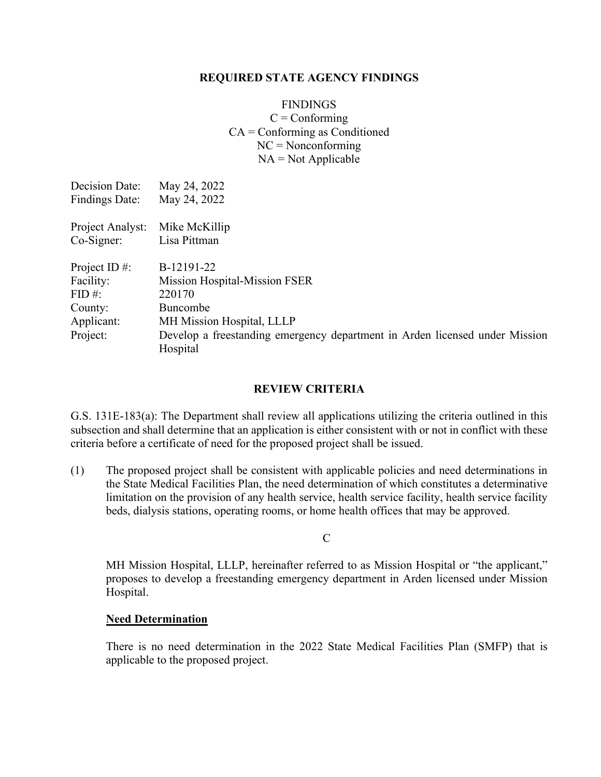### **REQUIRED STATE AGENCY FINDINGS**

# FINDINGS  $C = \text{Conforming}$ CA = Conforming as Conditioned  $NC = Nonconforming$  $NA = Not Applicable$

| May 24, 2022                                                                            |
|-----------------------------------------------------------------------------------------|
| May 24, 2022                                                                            |
| Mike McKillip                                                                           |
| Lisa Pittman                                                                            |
| B-12191-22                                                                              |
| <b>Mission Hospital-Mission FSER</b>                                                    |
| 220170                                                                                  |
| Buncombe                                                                                |
| MH Mission Hospital, LLLP                                                               |
| Develop a freestanding emergency department in Arden licensed under Mission<br>Hospital |
|                                                                                         |

# **REVIEW CRITERIA**

G.S. 131E-183(a): The Department shall review all applications utilizing the criteria outlined in this subsection and shall determine that an application is either consistent with or not in conflict with these criteria before a certificate of need for the proposed project shall be issued.

(1) The proposed project shall be consistent with applicable policies and need determinations in the State Medical Facilities Plan, the need determination of which constitutes a determinative limitation on the provision of any health service, health service facility, health service facility beds, dialysis stations, operating rooms, or home health offices that may be approved.

 $\mathcal{C}$ 

MH Mission Hospital, LLLP, hereinafter referred to as Mission Hospital or "the applicant," proposes to develop a freestanding emergency department in Arden licensed under Mission Hospital.

#### **Need Determination**

There is no need determination in the 2022 State Medical Facilities Plan (SMFP) that is applicable to the proposed project.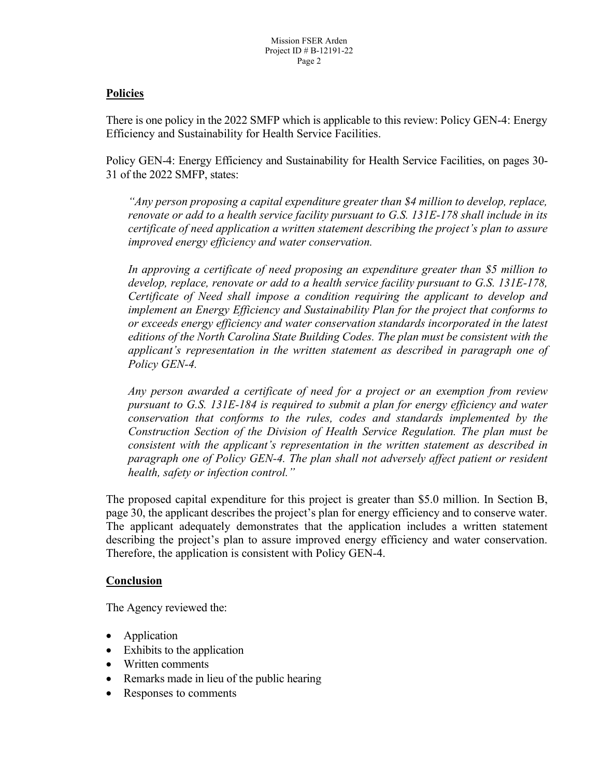## **Policies**

There is one policy in the 2022 SMFP which is applicable to this review: Policy GEN-4: Energy Efficiency and Sustainability for Health Service Facilities.

Policy GEN-4: Energy Efficiency and Sustainability for Health Service Facilities, on pages 30- 31 of the 2022 SMFP, states:

*"Any person proposing a capital expenditure greater than \$4 million to develop, replace, renovate or add to a health service facility pursuant to G.S. 131E-178 shall include in its certificate of need application a written statement describing the project's plan to assure improved energy efficiency and water conservation.*

*In approving a certificate of need proposing an expenditure greater than \$5 million to develop, replace, renovate or add to a health service facility pursuant to G.S. 131E-178, Certificate of Need shall impose a condition requiring the applicant to develop and implement an Energy Efficiency and Sustainability Plan for the project that conforms to or exceeds energy efficiency and water conservation standards incorporated in the latest editions of the North Carolina State Building Codes. The plan must be consistent with the applicant's representation in the written statement as described in paragraph one of Policy GEN-4.*

*Any person awarded a certificate of need for a project or an exemption from review pursuant to G.S. 131E-184 is required to submit a plan for energy efficiency and water conservation that conforms to the rules, codes and standards implemented by the Construction Section of the Division of Health Service Regulation. The plan must be consistent with the applicant's representation in the written statement as described in paragraph one of Policy GEN-4. The plan shall not adversely affect patient or resident health, safety or infection control."*

The proposed capital expenditure for this project is greater than \$5.0 million. In Section B, page 30, the applicant describes the project's plan for energy efficiency and to conserve water. The applicant adequately demonstrates that the application includes a written statement describing the project's plan to assure improved energy efficiency and water conservation. Therefore, the application is consistent with Policy GEN-4.

#### **Conclusion**

- Application
- Exhibits to the application
- Written comments
- Remarks made in lieu of the public hearing
- Responses to comments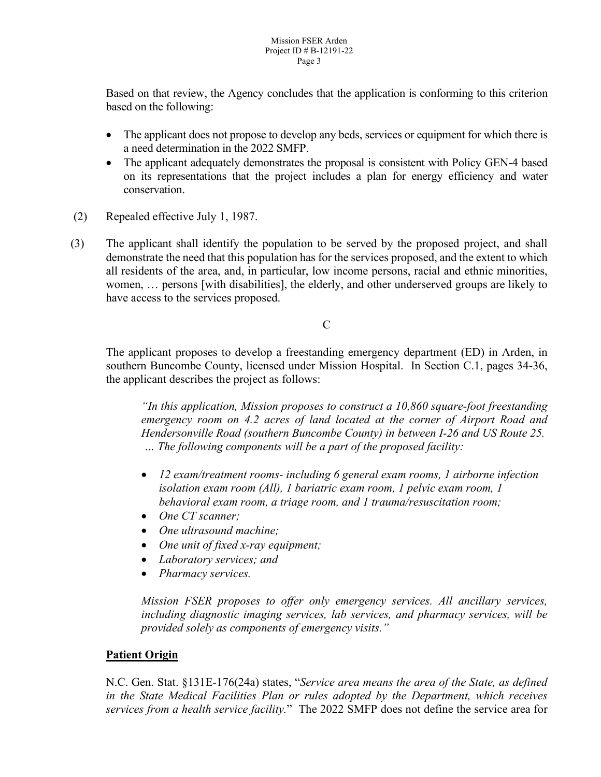Based on that review, the Agency concludes that the application is conforming to this criterion based on the following:

- The applicant does not propose to develop any beds, services or equipment for which there is a need determination in the 2022 SMFP.
- The applicant adequately demonstrates the proposal is consistent with Policy GEN-4 based on its representations that the project includes a plan for energy efficiency and water conservation.
- (2) Repealed effective July 1, 1987.
- (3) The applicant shall identify the population to be served by the proposed project, and shall demonstrate the need that this population has for the services proposed, and the extent to which all residents of the area, and, in particular, low income persons, racial and ethnic minorities, women, … persons [with disabilities], the elderly, and other underserved groups are likely to have access to the services proposed.

 $\mathcal{C}$ 

The applicant proposes to develop a freestanding emergency department (ED) in Arden, in southern Buncombe County, licensed under Mission Hospital. In Section C.1, pages 34-36, the applicant describes the project as follows:

*"In this application, Mission proposes to construct a 10,860 square-foot freestanding emergency room on 4.2 acres of land located at the corner of Airport Road and Hendersonville Road (southern Buncombe County) in between I-26 and US Route 25. … The following components will be a part of the proposed facility:*

- *12 exam/treatment rooms- including 6 general exam rooms, 1 airborne infection isolation exam room (All), 1 bariatric exam room, 1 pelvic exam room, 1 behavioral exam room, a triage room, and 1 trauma/resuscitation room;*
- *One CT scanner;*
- *One ultrasound machine;*
- *One unit of fixed x-ray equipment;*
- *Laboratory services; and*
- *Pharmacy services.*

*Mission FSER proposes to offer only emergency services. All ancillary services, including diagnostic imaging services, lab services, and pharmacy services, will be provided solely as components of emergency visits."*

# **Patient Origin**

N.C. Gen. Stat. §131E-176(24a) states, "*Service area means the area of the State, as defined in the State Medical Facilities Plan or rules adopted by the Department, which receives services from a health service facility.*"The 2022 SMFP does not define the service area for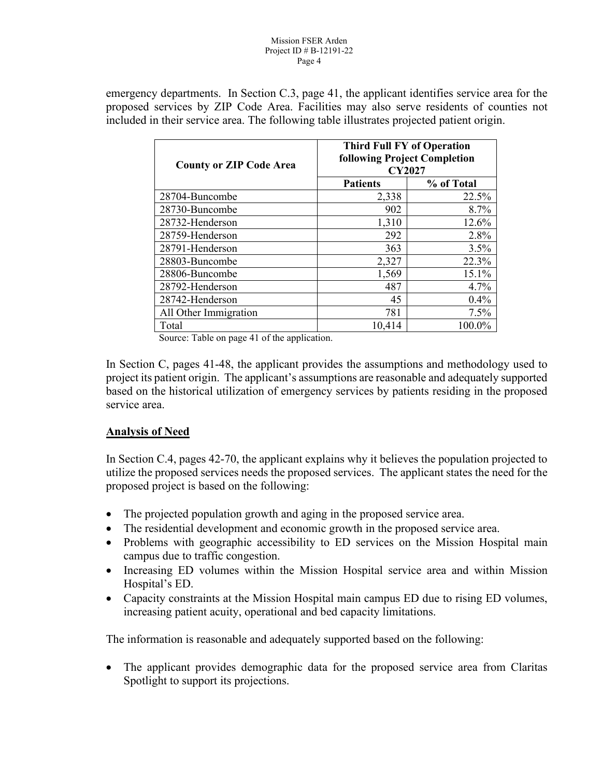#### Mission FSER Arden Project ID # B-12191-22 Page 4

emergency departments. In Section C.3, page 41, the applicant identifies service area for the proposed services by ZIP Code Area. Facilities may also serve residents of counties not included in their service area. The following table illustrates projected patient origin.

| <b>County or ZIP Code Area</b> |                 | <b>Third Full FY of Operation</b><br><b>following Project Completion</b><br><b>CY2027</b> |
|--------------------------------|-----------------|-------------------------------------------------------------------------------------------|
|                                | <b>Patients</b> | % of Total                                                                                |
| 28704-Buncombe                 | 2,338           | 22.5%                                                                                     |
| 28730-Buncombe                 | 902             | 8.7%                                                                                      |
| 28732-Henderson                | 1,310           | 12.6%                                                                                     |
| 28759-Henderson                | 292             | 2.8%                                                                                      |
| 28791-Henderson                | 363             | 3.5%                                                                                      |
| 28803-Buncombe                 | 2,327           | 22.3%                                                                                     |
| 28806-Buncombe                 | 1,569           | 15.1%                                                                                     |
| 28792-Henderson                | 487             | 4.7%                                                                                      |
| 28742-Henderson                | 45              | 0.4%                                                                                      |
| All Other Immigration          | 781             | 7.5%                                                                                      |
| Total                          | 10,414          | 100.0%                                                                                    |

Source: Table on page 41 of the application.

In Section C, pages 41-48, the applicant provides the assumptions and methodology used to project its patient origin. The applicant's assumptions are reasonable and adequately supported based on the historical utilization of emergency services by patients residing in the proposed service area.

#### **Analysis of Need**

In Section C.4, pages 42-70, the applicant explains why it believes the population projected to utilize the proposed services needs the proposed services. The applicant states the need for the proposed project is based on the following:

- The projected population growth and aging in the proposed service area.
- The residential development and economic growth in the proposed service area.
- Problems with geographic accessibility to ED services on the Mission Hospital main campus due to traffic congestion.
- Increasing ED volumes within the Mission Hospital service area and within Mission Hospital's ED.
- Capacity constraints at the Mission Hospital main campus ED due to rising ED volumes, increasing patient acuity, operational and bed capacity limitations.

The information is reasonable and adequately supported based on the following:

• The applicant provides demographic data for the proposed service area from Claritas Spotlight to support its projections.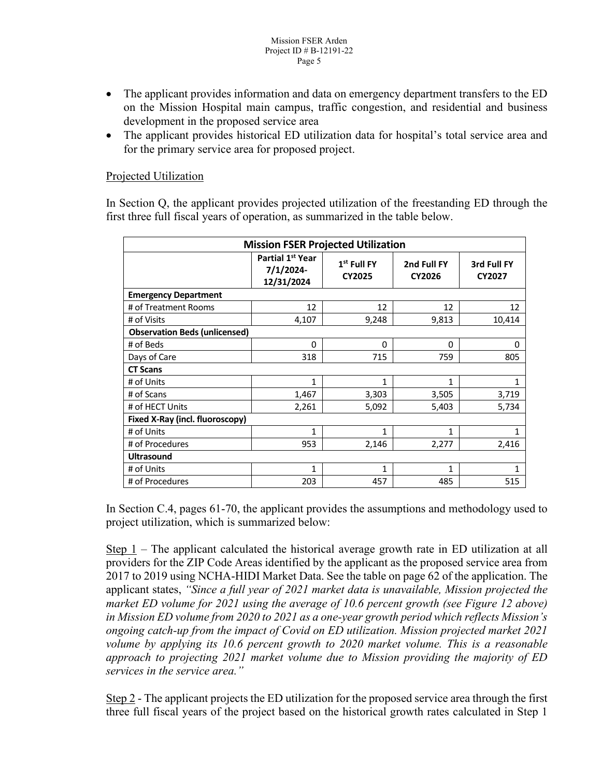- The applicant provides information and data on emergency department transfers to the ED on the Mission Hospital main campus, traffic congestion, and residential and business development in the proposed service area
- The applicant provides historical ED utilization data for hospital's total service area and for the primary service area for proposed project.

### Projected Utilization

In Section Q, the applicant provides projected utilization of the freestanding ED through the first three full fiscal years of operation, as summarized in the table below.

| <b>Mission FSER Projected Utilization</b> |                                                         |                                |                       |                       |
|-------------------------------------------|---------------------------------------------------------|--------------------------------|-----------------------|-----------------------|
|                                           | Partial 1 <sup>st</sup> Year<br>7/1/2024-<br>12/31/2024 | $1st$ Full FY<br><b>CY2025</b> | 2nd Full FY<br>CY2026 | 3rd Full FY<br>CY2027 |
| <b>Emergency Department</b>               |                                                         |                                |                       |                       |
| # of Treatment Rooms                      | 12                                                      | 12                             | 12                    | 12                    |
| # of Visits                               | 4,107                                                   | 9,248                          | 9,813                 | 10,414                |
| <b>Observation Beds (unlicensed)</b>      |                                                         |                                |                       |                       |
| # of Beds                                 | 0                                                       | 0                              | $\Omega$              | 0                     |
| Days of Care                              | 318                                                     | 715                            | 759                   | 805                   |
| <b>CT Scans</b>                           |                                                         |                                |                       |                       |
| # of Units                                | 1                                                       | 1                              | 1                     | 1                     |
| # of Scans                                | 1,467                                                   | 3,303                          | 3,505                 | 3,719                 |
| # of HECT Units                           | 2,261                                                   | 5,092                          | 5,403                 | 5,734                 |
| Fixed X-Ray (incl. fluoroscopy)           |                                                         |                                |                       |                       |
| # of Units                                | 1                                                       | 1                              | 1                     | 1                     |
| # of Procedures                           | 953                                                     | 2,146                          | 2,277                 | 2,416                 |
| <b>Ultrasound</b>                         |                                                         |                                |                       |                       |
| # of Units                                | 1                                                       | 1                              | 1                     | 1                     |
| # of Procedures                           | 203                                                     | 457                            | 485                   | 515                   |

In Section C.4, pages 61-70, the applicant provides the assumptions and methodology used to project utilization, which is summarized below:

Step  $1$  – The applicant calculated the historical average growth rate in ED utilization at all providers for the ZIP Code Areas identified by the applicant as the proposed service area from 2017 to 2019 using NCHA-HIDI Market Data. See the table on page 62 of the application. The applicant states, *"Since a full year of 2021 market data is unavailable, Mission projected the market ED volume for 2021 using the average of 10.6 percent growth (see Figure 12 above) in Mission ED volume from 2020 to 2021 as a one-year growth period which reflects Mission's ongoing catch-up from the impact of Covid on ED utilization. Mission projected market 2021 volume by applying its 10.6 percent growth to 2020 market volume. This is a reasonable approach to projecting 2021 market volume due to Mission providing the majority of ED services in the service area."*

Step 2 - The applicant projects the ED utilization for the proposed service area through the first three full fiscal years of the project based on the historical growth rates calculated in Step 1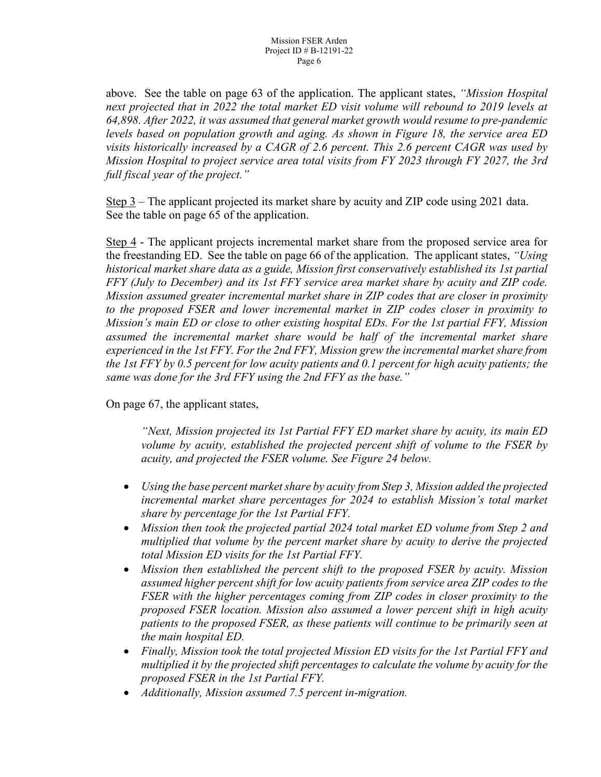above. See the table on page 63 of the application. The applicant states, *"Mission Hospital next projected that in 2022 the total market ED visit volume will rebound to 2019 levels at 64,898. After 2022, it was assumed that general market growth would resume to pre-pandemic levels based on population growth and aging. As shown in Figure 18, the service area ED visits historically increased by a CAGR of 2.6 percent. This 2.6 percent CAGR was used by Mission Hospital to project service area total visits from FY 2023 through FY 2027, the 3rd full fiscal year of the project."*

Step 3 – The applicant projected its market share by acuity and ZIP code using 2021 data. See the table on page 65 of the application.

Step 4 - The applicant projects incremental market share from the proposed service area for the freestanding ED. See the table on page 66 of the application. The applicant states, *"Using historical market share data as a guide, Mission first conservatively established its 1st partial FFY (July to December) and its 1st FFY service area market share by acuity and ZIP code. Mission assumed greater incremental market share in ZIP codes that are closer in proximity to the proposed FSER and lower incremental market in ZIP codes closer in proximity to Mission's main ED or close to other existing hospital EDs. For the 1st partial FFY, Mission assumed the incremental market share would be half of the incremental market share experienced in the 1st FFY. For the 2nd FFY, Mission grew the incremental market share from the 1st FFY by 0.5 percent for low acuity patients and 0.1 percent for high acuity patients; the same was done for the 3rd FFY using the 2nd FFY as the base."*

On page 67, the applicant states,

*"Next, Mission projected its 1st Partial FFY ED market share by acuity, its main ED volume by acuity, established the projected percent shift of volume to the FSER by acuity, and projected the FSER volume. See Figure 24 below.*

- *Using the base percent market share by acuity from Step 3, Mission added the projected incremental market share percentages for 2024 to establish Mission's total market share by percentage for the 1st Partial FFY.*
- *Mission then took the projected partial 2024 total market ED volume from Step 2 and multiplied that volume by the percent market share by acuity to derive the projected total Mission ED visits for the 1st Partial FFY.*
- *Mission then established the percent shift to the proposed FSER by acuity. Mission assumed higher percent shift for low acuity patients from service area ZIP codes to the FSER with the higher percentages coming from ZIP codes in closer proximity to the proposed FSER location. Mission also assumed a lower percent shift in high acuity patients to the proposed FSER, as these patients will continue to be primarily seen at the main hospital ED.*
- *Finally, Mission took the total projected Mission ED visits for the 1st Partial FFY and multiplied it by the projected shift percentages to calculate the volume by acuity for the proposed FSER in the 1st Partial FFY.*
- *Additionally, Mission assumed 7.5 percent in-migration.*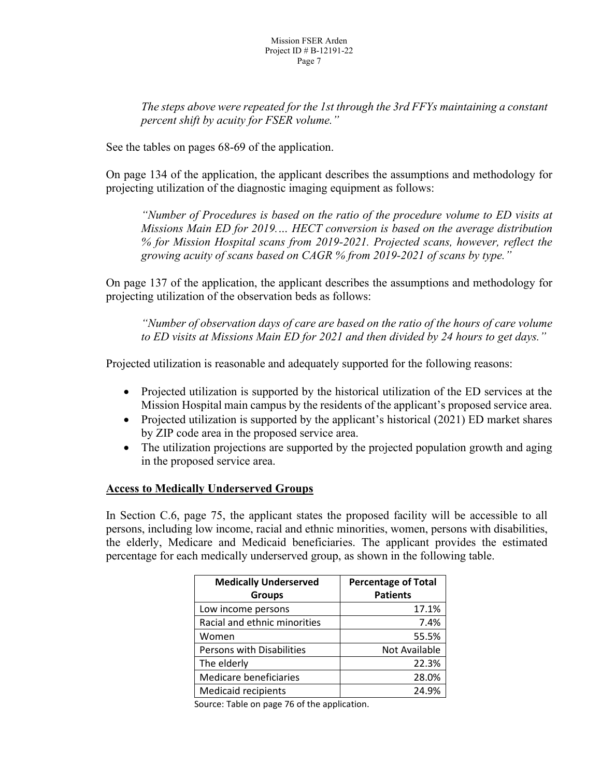*The steps above were repeated for the 1st through the 3rd FFYs maintaining a constant percent shift by acuity for FSER volume."*

See the tables on pages 68-69 of the application.

On page 134 of the application, the applicant describes the assumptions and methodology for projecting utilization of the diagnostic imaging equipment as follows:

*"Number of Procedures is based on the ratio of the procedure volume to ED visits at Missions Main ED for 2019.… HECT conversion is based on the average distribution % for Mission Hospital scans from 2019-2021. Projected scans, however, reflect the growing acuity of scans based on CAGR % from 2019-2021 of scans by type."*

On page 137 of the application, the applicant describes the assumptions and methodology for projecting utilization of the observation beds as follows:

*"Number of observation days of care are based on the ratio of the hours of care volume to ED visits at Missions Main ED for 2021 and then divided by 24 hours to get days."*

Projected utilization is reasonable and adequately supported for the following reasons:

- Projected utilization is supported by the historical utilization of the ED services at the Mission Hospital main campus by the residents of the applicant's proposed service area.
- Projected utilization is supported by the applicant's historical (2021) ED market shares by ZIP code area in the proposed service area.
- The utilization projections are supported by the projected population growth and aging in the proposed service area.

#### **Access to Medically Underserved Groups**

In Section C.6, page 75, the applicant states the proposed facility will be accessible to all persons, including low income, racial and ethnic minorities, women, persons with disabilities, the elderly, Medicare and Medicaid beneficiaries. The applicant provides the estimated percentage for each medically underserved group, as shown in the following table.

| <b>Medically Underserved</b> | <b>Percentage of Total</b> |
|------------------------------|----------------------------|
| <b>Groups</b>                | <b>Patients</b>            |
| Low income persons           | 17.1%                      |
| Racial and ethnic minorities | 7.4%                       |
| Women                        | 55.5%                      |
| Persons with Disabilities    | Not Available              |
| The elderly                  | 22.3%                      |
| Medicare beneficiaries       | 28.0%                      |
| <b>Medicaid recipients</b>   | 24.9%                      |

Source: Table on page 76 of the application.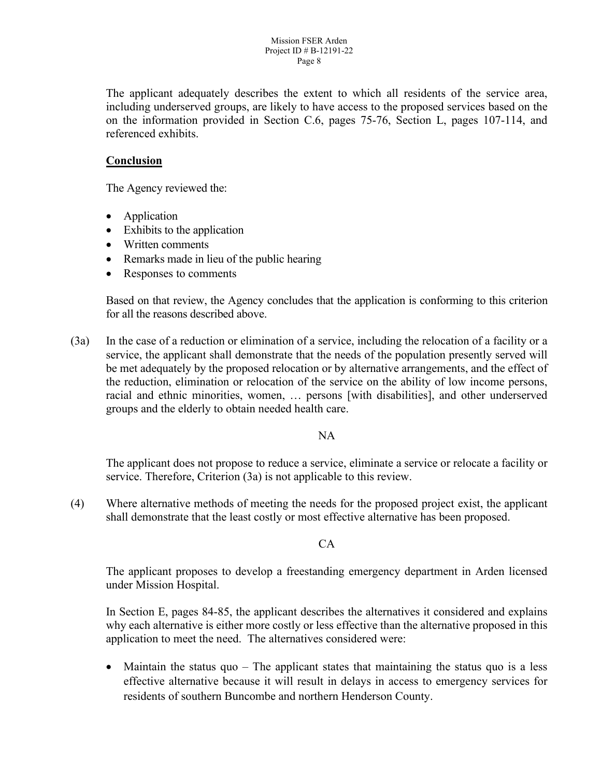The applicant adequately describes the extent to which all residents of the service area, including underserved groups, are likely to have access to the proposed services based on the on the information provided in Section C.6, pages 75-76, Section L, pages 107-114, and referenced exhibits.

# **Conclusion**

The Agency reviewed the:

- Application
- Exhibits to the application
- Written comments
- Remarks made in lieu of the public hearing
- Responses to comments

Based on that review, the Agency concludes that the application is conforming to this criterion for all the reasons described above.

(3a) In the case of a reduction or elimination of a service, including the relocation of a facility or a service, the applicant shall demonstrate that the needs of the population presently served will be met adequately by the proposed relocation or by alternative arrangements, and the effect of the reduction, elimination or relocation of the service on the ability of low income persons, racial and ethnic minorities, women, … persons [with disabilities], and other underserved groups and the elderly to obtain needed health care.

#### NA

The applicant does not propose to reduce a service, eliminate a service or relocate a facility or service. Therefore, Criterion (3a) is not applicable to this review.

(4) Where alternative methods of meeting the needs for the proposed project exist, the applicant shall demonstrate that the least costly or most effective alternative has been proposed.

#### $CA$

The applicant proposes to develop a freestanding emergency department in Arden licensed under Mission Hospital.

In Section E, pages 84-85, the applicant describes the alternatives it considered and explains why each alternative is either more costly or less effective than the alternative proposed in this application to meet the need. The alternatives considered were:

• Maintain the status quo – The applicant states that maintaining the status quo is a less effective alternative because it will result in delays in access to emergency services for residents of southern Buncombe and northern Henderson County.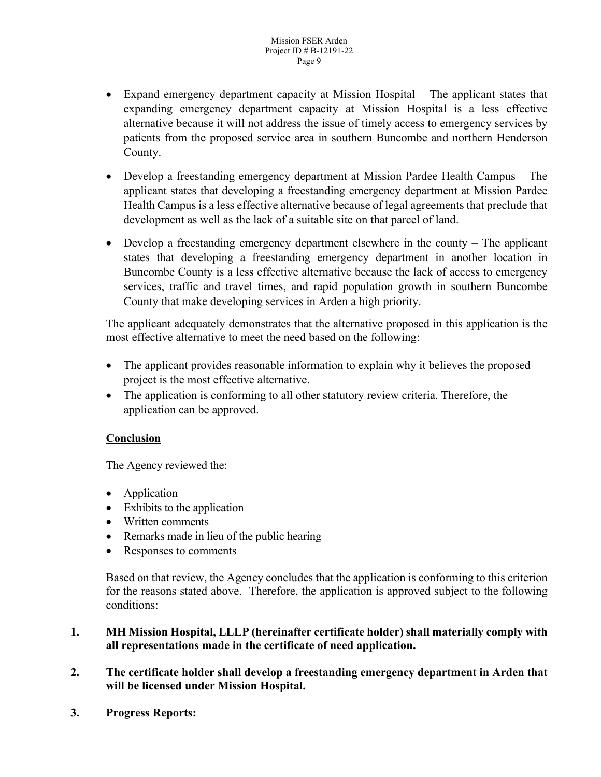- Expand emergency department capacity at Mission Hospital The applicant states that expanding emergency department capacity at Mission Hospital is a less effective alternative because it will not address the issue of timely access to emergency services by patients from the proposed service area in southern Buncombe and northern Henderson County.
- Develop a freestanding emergency department at Mission Pardee Health Campus The applicant states that developing a freestanding emergency department at Mission Pardee Health Campus is a less effective alternative because of legal agreements that preclude that development as well as the lack of a suitable site on that parcel of land.
- Develop a freestanding emergency department elsewhere in the county The applicant states that developing a freestanding emergency department in another location in Buncombe County is a less effective alternative because the lack of access to emergency services, traffic and travel times, and rapid population growth in southern Buncombe County that make developing services in Arden a high priority.

The applicant adequately demonstrates that the alternative proposed in this application is the most effective alternative to meet the need based on the following:

- The applicant provides reasonable information to explain why it believes the proposed project is the most effective alternative.
- The application is conforming to all other statutory review criteria. Therefore, the application can be approved.

# **Conclusion**

The Agency reviewed the:

- Application
- Exhibits to the application
- Written comments
- Remarks made in lieu of the public hearing
- Responses to comments

Based on that review, the Agency concludes that the application is conforming to this criterion for the reasons stated above. Therefore, the application is approved subject to the following conditions:

## **1. MH Mission Hospital, LLLP (hereinafter certificate holder) shall materially comply with all representations made in the certificate of need application.**

- **2. The certificate holder shall develop a freestanding emergency department in Arden that will be licensed under Mission Hospital.**
- **3. Progress Reports:**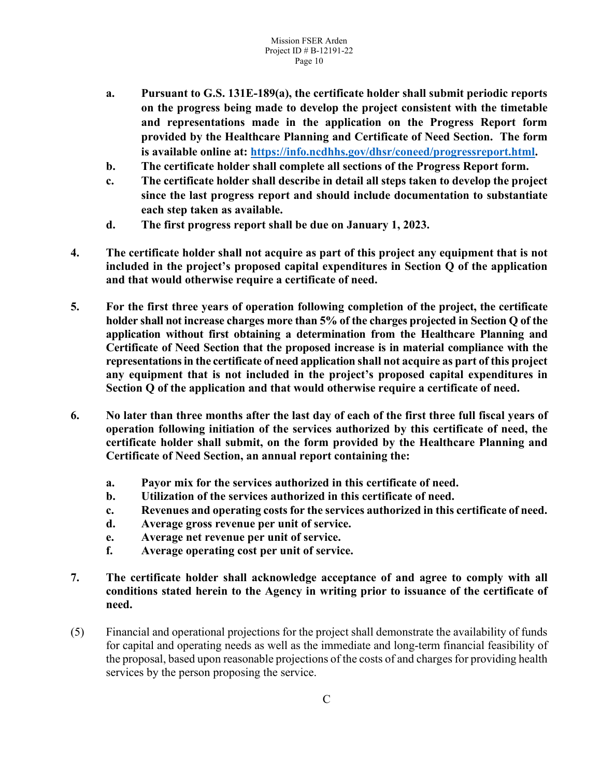- **a. Pursuant to G.S. 131E-189(a), the certificate holder shall submit periodic reports on the progress being made to develop the project consistent with the timetable and representations made in the application on the Progress Report form provided by the Healthcare Planning and Certificate of Need Section. The form is available online at: [https://info.ncdhhs.gov/dhsr/coneed/progressreport.html.](https://info.ncdhhs.gov/dhsr/coneed/progressreport.html)**
- **b. The certificate holder shall complete all sections of the Progress Report form.**
- **c. The certificate holder shall describe in detail all steps taken to develop the project since the last progress report and should include documentation to substantiate each step taken as available.**
- **d. The first progress report shall be due on January 1, 2023.**
- **4. The certificate holder shall not acquire as part of this project any equipment that is not included in the project's proposed capital expenditures in Section Q of the application and that would otherwise require a certificate of need.**
- **5. For the first three years of operation following completion of the project, the certificate holder shall not increase charges more than 5% of the charges projected in Section Q of the application without first obtaining a determination from the Healthcare Planning and Certificate of Need Section that the proposed increase is in material compliance with the representations in the certificate of need application shall not acquire as part of this project any equipment that is not included in the project's proposed capital expenditures in Section Q of the application and that would otherwise require a certificate of need.**
- **6. No later than three months after the last day of each of the first three full fiscal years of operation following initiation of the services authorized by this certificate of need, the certificate holder shall submit, on the form provided by the Healthcare Planning and Certificate of Need Section, an annual report containing the:**
	- **a. Payor mix for the services authorized in this certificate of need.**
	- **b. Utilization of the services authorized in this certificate of need.**
	- **c. Revenues and operating costs for the services authorized in this certificate of need.**
	- **d. Average gross revenue per unit of service.**
	- **e. Average net revenue per unit of service.**
	- **f. Average operating cost per unit of service.**
- **7. The certificate holder shall acknowledge acceptance of and agree to comply with all conditions stated herein to the Agency in writing prior to issuance of the certificate of need.**
- (5) Financial and operational projections for the project shall demonstrate the availability of funds for capital and operating needs as well as the immediate and long-term financial feasibility of the proposal, based upon reasonable projections of the costs of and charges for providing health services by the person proposing the service.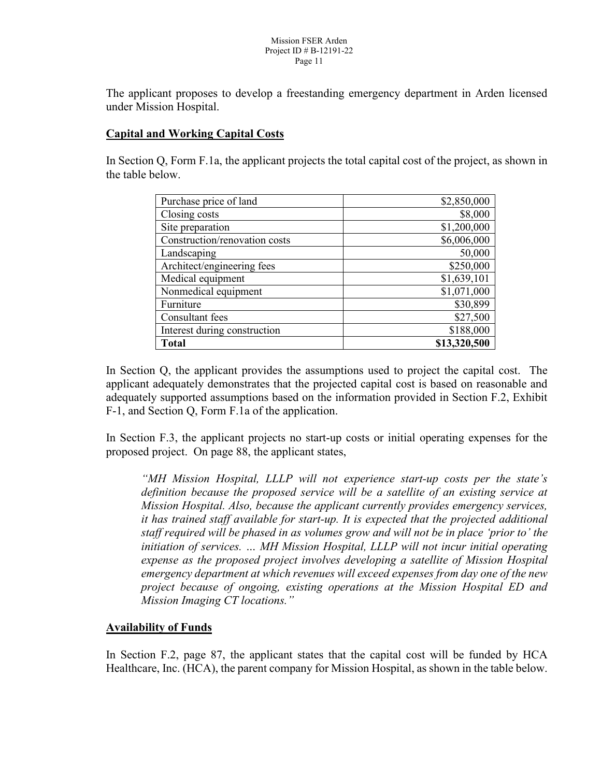The applicant proposes to develop a freestanding emergency department in Arden licensed under Mission Hospital.

# **Capital and Working Capital Costs**

In Section Q, Form F.1a, the applicant projects the total capital cost of the project, as shown in the table below.

| Purchase price of land        | \$2,850,000  |
|-------------------------------|--------------|
| Closing costs                 | \$8,000      |
| Site preparation              | \$1,200,000  |
| Construction/renovation costs | \$6,006,000  |
| Landscaping                   | 50,000       |
| Architect/engineering fees    | \$250,000    |
| Medical equipment             | \$1,639,101  |
| Nonmedical equipment          | \$1,071,000  |
| Furniture                     | \$30,899     |
| Consultant fees               | \$27,500     |
| Interest during construction  | \$188,000    |
| <b>Total</b>                  | \$13,320,500 |

In Section Q, the applicant provides the assumptions used to project the capital cost. The applicant adequately demonstrates that the projected capital cost is based on reasonable and adequately supported assumptions based on the information provided in Section F.2, Exhibit F-1, and Section Q, Form F.1a of the application.

In Section F.3, the applicant projects no start-up costs or initial operating expenses for the proposed project. On page 88, the applicant states,

*"MH Mission Hospital, LLLP will not experience start-up costs per the state's definition because the proposed service will be a satellite of an existing service at Mission Hospital. Also, because the applicant currently provides emergency services, it has trained staff available for start-up. It is expected that the projected additional staff required will be phased in as volumes grow and will not be in place 'prior to' the initiation of services. … MH Mission Hospital, LLLP will not incur initial operating expense as the proposed project involves developing a satellite of Mission Hospital emergency department at which revenues will exceed expenses from day one of the new project because of ongoing, existing operations at the Mission Hospital ED and Mission Imaging CT locations."*

#### **Availability of Funds**

In Section F.2, page 87, the applicant states that the capital cost will be funded by HCA Healthcare, Inc. (HCA), the parent company for Mission Hospital, as shown in the table below.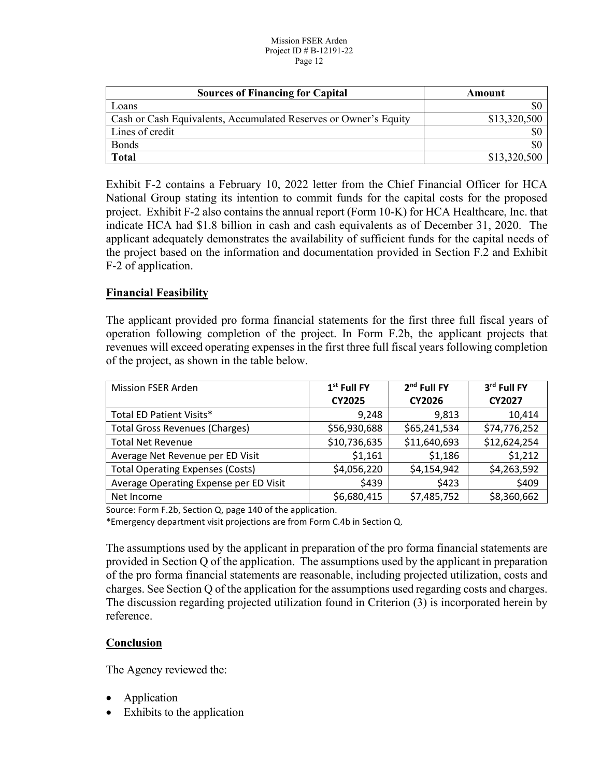#### Mission FSER Arden Project ID # B-12191-22 Page 12

| <b>Sources of Financing for Capital</b>                          | Amount       |
|------------------------------------------------------------------|--------------|
| Loans                                                            |              |
| Cash or Cash Equivalents, Accumulated Reserves or Owner's Equity | \$13,320,500 |
| Lines of credit                                                  | \$0          |
| <b>Bonds</b>                                                     | УC           |
| <b>Total</b>                                                     | \$13,320,500 |

Exhibit F-2 contains a February 10, 2022 letter from the Chief Financial Officer for HCA National Group stating its intention to commit funds for the capital costs for the proposed project. Exhibit F-2 also contains the annual report (Form 10-K) for HCA Healthcare, Inc. that indicate HCA had \$1.8 billion in cash and cash equivalents as of December 31, 2020. The applicant adequately demonstrates the availability of sufficient funds for the capital needs of the project based on the information and documentation provided in Section F.2 and Exhibit F-2 of application.

## **Financial Feasibility**

The applicant provided pro forma financial statements for the first three full fiscal years of operation following completion of the project. In Form F.2b, the applicant projects that revenues will exceed operating expenses in the first three full fiscal years following completion of the project, as shown in the table below.

| <b>Mission FSER Arden</b>               | $1st$ Full FY | 2 <sup>nd</sup> Full FY | 3rd Full FY   |
|-----------------------------------------|---------------|-------------------------|---------------|
|                                         | <b>CY2025</b> | CY2026                  | <b>CY2027</b> |
| Total ED Patient Visits*                | 9,248         | 9,813                   | 10,414        |
| <b>Total Gross Revenues (Charges)</b>   | \$56,930,688  | \$65,241,534            | \$74,776,252  |
| <b>Total Net Revenue</b>                | \$10,736,635  | \$11,640,693            | \$12,624,254  |
| Average Net Revenue per ED Visit        | \$1,161       | \$1,186                 | \$1,212       |
| <b>Total Operating Expenses (Costs)</b> | \$4,056,220   | \$4,154,942             | \$4,263,592   |
| Average Operating Expense per ED Visit  | \$439         | \$423                   | \$409         |
| Net Income                              | \$6,680,415   | \$7,485,752             | \$8,360,662   |

Source: Form F.2b, Section Q, page 140 of the application.

\*Emergency department visit projections are from Form C.4b in Section Q.

The assumptions used by the applicant in preparation of the pro forma financial statements are provided in Section Q of the application. The assumptions used by the applicant in preparation of the pro forma financial statements are reasonable, including projected utilization, costs and charges. See Section Q of the application for the assumptions used regarding costs and charges. The discussion regarding projected utilization found in Criterion (3) is incorporated herein by reference.

# **Conclusion**

- Application
- Exhibits to the application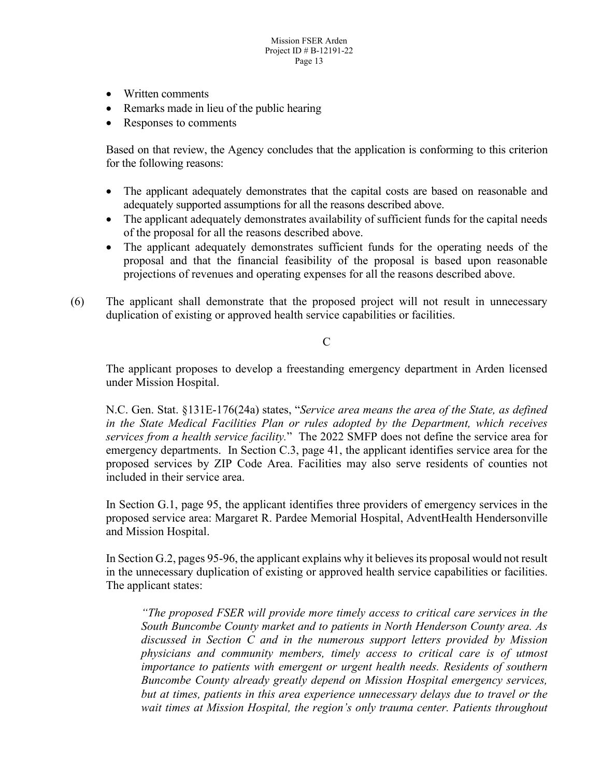- Written comments
- Remarks made in lieu of the public hearing
- Responses to comments

Based on that review, the Agency concludes that the application is conforming to this criterion for the following reasons:

- The applicant adequately demonstrates that the capital costs are based on reasonable and adequately supported assumptions for all the reasons described above.
- The applicant adequately demonstrates availability of sufficient funds for the capital needs of the proposal for all the reasons described above.
- The applicant adequately demonstrates sufficient funds for the operating needs of the proposal and that the financial feasibility of the proposal is based upon reasonable projections of revenues and operating expenses for all the reasons described above.
- (6) The applicant shall demonstrate that the proposed project will not result in unnecessary duplication of existing or approved health service capabilities or facilities.

 $\overline{C}$ 

The applicant proposes to develop a freestanding emergency department in Arden licensed under Mission Hospital.

N.C. Gen. Stat. §131E-176(24a) states, "*Service area means the area of the State, as defined in the State Medical Facilities Plan or rules adopted by the Department, which receives services from a health service facility.*"The 2022 SMFP does not define the service area for emergency departments. In Section C.3, page 41, the applicant identifies service area for the proposed services by ZIP Code Area. Facilities may also serve residents of counties not included in their service area.

In Section G.1, page 95, the applicant identifies three providers of emergency services in the proposed service area: Margaret R. Pardee Memorial Hospital, AdventHealth Hendersonville and Mission Hospital.

In Section G.2, pages 95-96, the applicant explains why it believes its proposal would not result in the unnecessary duplication of existing or approved health service capabilities or facilities. The applicant states:

*"The proposed FSER will provide more timely access to critical care services in the South Buncombe County market and to patients in North Henderson County area. As discussed in Section C and in the numerous support letters provided by Mission physicians and community members, timely access to critical care is of utmost importance to patients with emergent or urgent health needs. Residents of southern Buncombe County already greatly depend on Mission Hospital emergency services, but at times, patients in this area experience unnecessary delays due to travel or the wait times at Mission Hospital, the region's only trauma center. Patients throughout*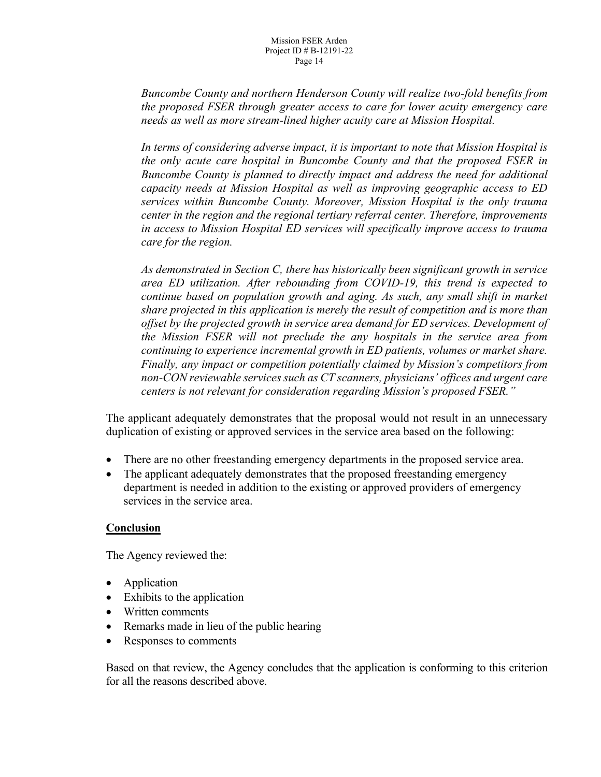*Buncombe County and northern Henderson County will realize two-fold benefits from the proposed FSER through greater access to care for lower acuity emergency care needs as well as more stream-lined higher acuity care at Mission Hospital.*

*In terms of considering adverse impact, it is important to note that Mission Hospital is the only acute care hospital in Buncombe County and that the proposed FSER in Buncombe County is planned to directly impact and address the need for additional capacity needs at Mission Hospital as well as improving geographic access to ED services within Buncombe County. Moreover, Mission Hospital is the only trauma center in the region and the regional tertiary referral center. Therefore, improvements in access to Mission Hospital ED services will specifically improve access to trauma care for the region.*

*As demonstrated in Section C, there has historically been significant growth in service area ED utilization. After rebounding from COVID-19, this trend is expected to continue based on population growth and aging. As such, any small shift in market share projected in this application is merely the result of competition and is more than offset by the projected growth in service area demand for ED services. Development of the Mission FSER will not preclude the any hospitals in the service area from continuing to experience incremental growth in ED patients, volumes or market share. Finally, any impact or competition potentially claimed by Mission's competitors from non-CON reviewable services such as CT scanners, physicians' offices and urgent care centers is not relevant for consideration regarding Mission's proposed FSER."*

The applicant adequately demonstrates that the proposal would not result in an unnecessary duplication of existing or approved services in the service area based on the following:

- There are no other freestanding emergency departments in the proposed service area.
- The applicant adequately demonstrates that the proposed freestanding emergency department is needed in addition to the existing or approved providers of emergency services in the service area.

# **Conclusion**

The Agency reviewed the:

- Application
- Exhibits to the application
- Written comments
- Remarks made in lieu of the public hearing
- Responses to comments

Based on that review, the Agency concludes that the application is conforming to this criterion for all the reasons described above.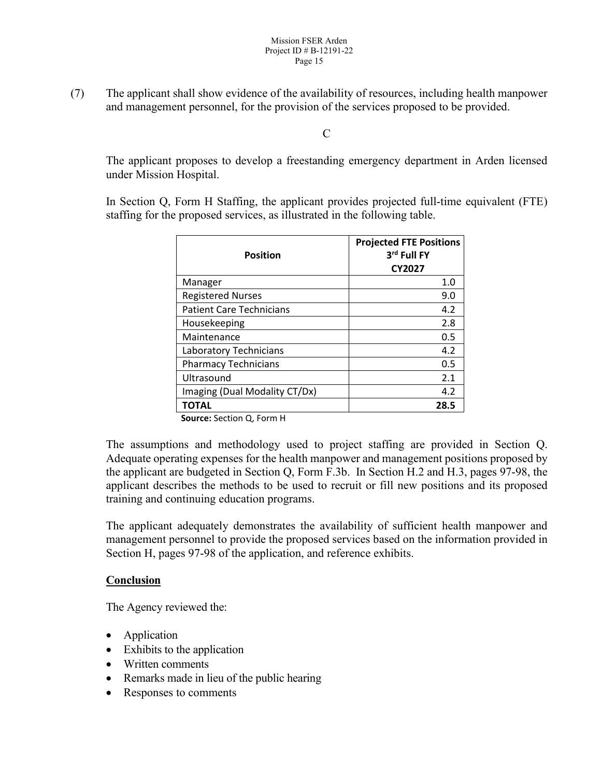(7) The applicant shall show evidence of the availability of resources, including health manpower and management personnel, for the provision of the services proposed to be provided.

C

The applicant proposes to develop a freestanding emergency department in Arden licensed under Mission Hospital.

In Section Q, Form H Staffing, the applicant provides projected full-time equivalent (FTE) staffing for the proposed services, as illustrated in the following table.

| <b>Position</b>                 | <b>Projected FTE Positions</b><br>3rd Full FY<br><b>CY2027</b> |
|---------------------------------|----------------------------------------------------------------|
| Manager                         | 1.0                                                            |
| <b>Registered Nurses</b>        | 9.0                                                            |
| <b>Patient Care Technicians</b> | 4.2                                                            |
| Housekeeping                    | 2.8                                                            |
| Maintenance                     | 0.5                                                            |
| Laboratory Technicians          | 4.2                                                            |
| <b>Pharmacy Technicians</b>     | 0.5                                                            |
| Ultrasound                      | 2.1                                                            |
| Imaging (Dual Modality CT/Dx)   | 4.2                                                            |
| TOTAL                           | 28.5                                                           |

**Source:** Section Q, Form H

The assumptions and methodology used to project staffing are provided in Section Q. Adequate operating expenses for the health manpower and management positions proposed by the applicant are budgeted in Section Q, Form F.3b. In Section H.2 and H.3, pages 97-98, the applicant describes the methods to be used to recruit or fill new positions and its proposed training and continuing education programs.

The applicant adequately demonstrates the availability of sufficient health manpower and management personnel to provide the proposed services based on the information provided in Section H, pages 97-98 of the application, and reference exhibits.

# **Conclusion**

- Application
- Exhibits to the application
- Written comments
- Remarks made in lieu of the public hearing
- Responses to comments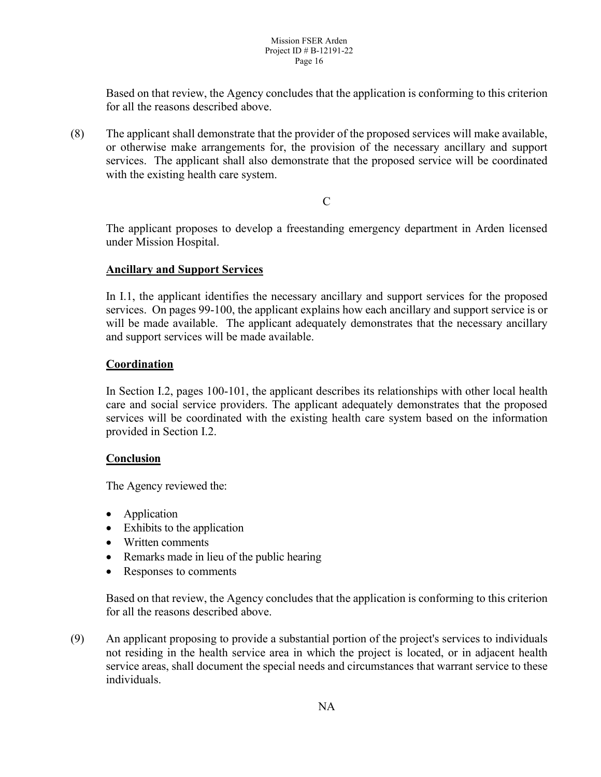Based on that review, the Agency concludes that the application is conforming to this criterion for all the reasons described above.

(8) The applicant shall demonstrate that the provider of the proposed services will make available, or otherwise make arrangements for, the provision of the necessary ancillary and support services. The applicant shall also demonstrate that the proposed service will be coordinated with the existing health care system.

 $\mathcal{C}$ 

The applicant proposes to develop a freestanding emergency department in Arden licensed under Mission Hospital.

## **Ancillary and Support Services**

In I.1, the applicant identifies the necessary ancillary and support services for the proposed services. On pages 99-100, the applicant explains how each ancillary and support service is or will be made available. The applicant adequately demonstrates that the necessary ancillary and support services will be made available.

# **Coordination**

In Section I.2, pages 100-101, the applicant describes its relationships with other local health care and social service providers. The applicant adequately demonstrates that the proposed services will be coordinated with the existing health care system based on the information provided in Section I.2.

# **Conclusion**

The Agency reviewed the:

- Application
- Exhibits to the application
- Written comments
- Remarks made in lieu of the public hearing
- Responses to comments

Based on that review, the Agency concludes that the application is conforming to this criterion for all the reasons described above.

(9) An applicant proposing to provide a substantial portion of the project's services to individuals not residing in the health service area in which the project is located, or in adjacent health service areas, shall document the special needs and circumstances that warrant service to these individuals.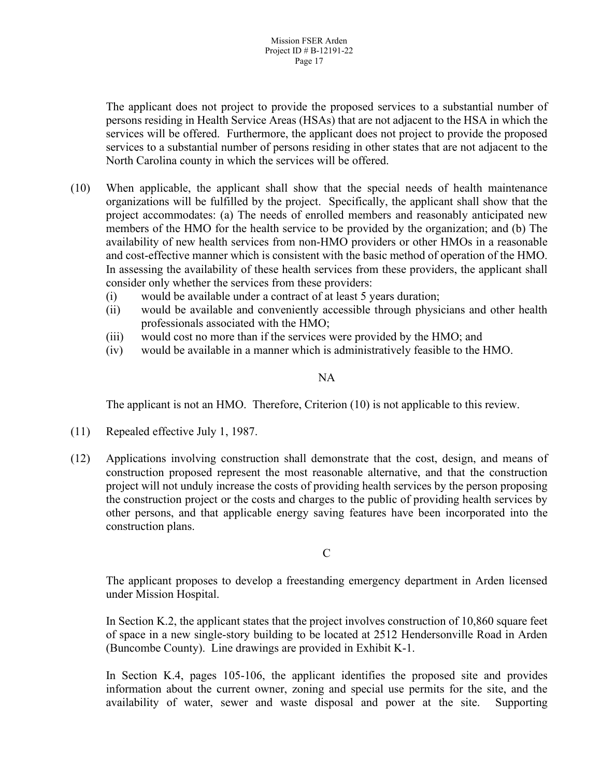The applicant does not project to provide the proposed services to a substantial number of persons residing in Health Service Areas (HSAs) that are not adjacent to the HSA in which the services will be offered. Furthermore, the applicant does not project to provide the proposed services to a substantial number of persons residing in other states that are not adjacent to the North Carolina county in which the services will be offered.

- (10) When applicable, the applicant shall show that the special needs of health maintenance organizations will be fulfilled by the project. Specifically, the applicant shall show that the project accommodates: (a) The needs of enrolled members and reasonably anticipated new members of the HMO for the health service to be provided by the organization; and (b) The availability of new health services from non-HMO providers or other HMOs in a reasonable and cost-effective manner which is consistent with the basic method of operation of the HMO. In assessing the availability of these health services from these providers, the applicant shall consider only whether the services from these providers:
	- (i) would be available under a contract of at least 5 years duration;
	- (ii) would be available and conveniently accessible through physicians and other health professionals associated with the HMO;
	- (iii) would cost no more than if the services were provided by the HMO; and
	- (iv) would be available in a manner which is administratively feasible to the HMO.

#### NA

The applicant is not an HMO. Therefore, Criterion (10) is not applicable to this review.

- (11) Repealed effective July 1, 1987.
- (12) Applications involving construction shall demonstrate that the cost, design, and means of construction proposed represent the most reasonable alternative, and that the construction project will not unduly increase the costs of providing health services by the person proposing the construction project or the costs and charges to the public of providing health services by other persons, and that applicable energy saving features have been incorporated into the construction plans.

#### $\mathcal{C}$

The applicant proposes to develop a freestanding emergency department in Arden licensed under Mission Hospital.

In Section K.2, the applicant states that the project involves construction of 10,860 square feet of space in a new single-story building to be located at 2512 Hendersonville Road in Arden (Buncombe County). Line drawings are provided in Exhibit K-1.

In Section K.4, pages 105-106, the applicant identifies the proposed site and provides information about the current owner, zoning and special use permits for the site, and the availability of water, sewer and waste disposal and power at the site. Supporting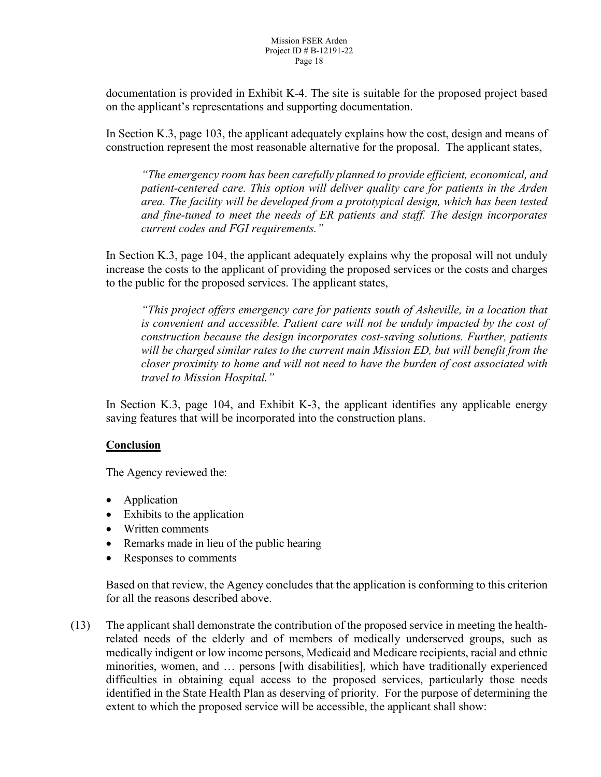documentation is provided in Exhibit K-4. The site is suitable for the proposed project based on the applicant's representations and supporting documentation.

In Section K.3, page 103, the applicant adequately explains how the cost, design and means of construction represent the most reasonable alternative for the proposal. The applicant states,

*"The emergency room has been carefully planned to provide efficient, economical, and patient-centered care. This option will deliver quality care for patients in the Arden area. The facility will be developed from a prototypical design, which has been tested and fine-tuned to meet the needs of ER patients and staff. The design incorporates current codes and FGI requirements."*

In Section K.3, page 104, the applicant adequately explains why the proposal will not unduly increase the costs to the applicant of providing the proposed services or the costs and charges to the public for the proposed services. The applicant states,

*"This project offers emergency care for patients south of Asheville, in a location that is convenient and accessible. Patient care will not be unduly impacted by the cost of construction because the design incorporates cost-saving solutions. Further, patients will be charged similar rates to the current main Mission ED, but will benefit from the closer proximity to home and will not need to have the burden of cost associated with travel to Mission Hospital."*

In Section K.3, page 104, and Exhibit K-3, the applicant identifies any applicable energy saving features that will be incorporated into the construction plans.

# **Conclusion**

The Agency reviewed the:

- Application
- Exhibits to the application
- Written comments
- Remarks made in lieu of the public hearing
- Responses to comments

Based on that review, the Agency concludes that the application is conforming to this criterion for all the reasons described above.

(13) The applicant shall demonstrate the contribution of the proposed service in meeting the healthrelated needs of the elderly and of members of medically underserved groups, such as medically indigent or low income persons, Medicaid and Medicare recipients, racial and ethnic minorities, women, and … persons [with disabilities], which have traditionally experienced difficulties in obtaining equal access to the proposed services, particularly those needs identified in the State Health Plan as deserving of priority. For the purpose of determining the extent to which the proposed service will be accessible, the applicant shall show: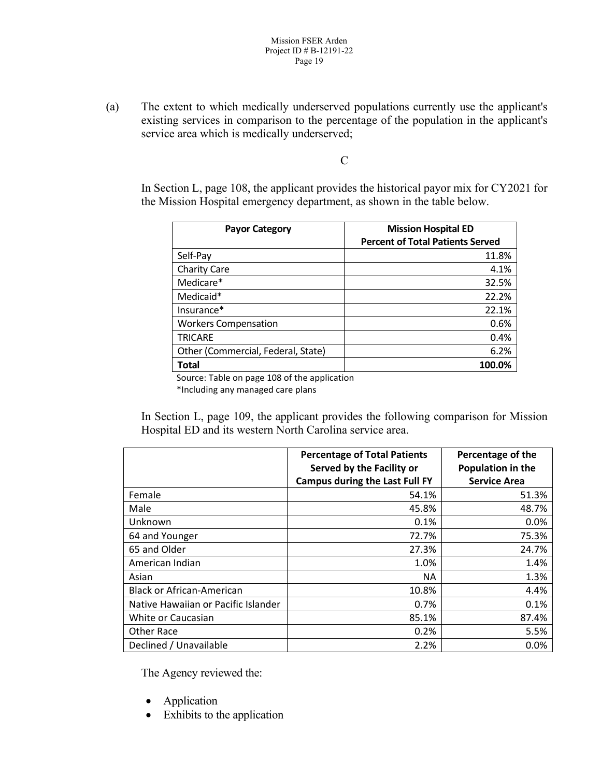(a) The extent to which medically underserved populations currently use the applicant's existing services in comparison to the percentage of the population in the applicant's service area which is medically underserved;

 $\mathbf C$ 

In Section L, page 108, the applicant provides the historical payor mix for CY2021 for the Mission Hospital emergency department, as shown in the table below.

| <b>Payor Category</b>                        | <b>Mission Hospital ED</b><br><b>Percent of Total Patients Served</b> |
|----------------------------------------------|-----------------------------------------------------------------------|
| Self-Pay                                     | 11.8%                                                                 |
| <b>Charity Care</b>                          | 4.1%                                                                  |
| Medicare*                                    | 32.5%                                                                 |
| Medicaid*                                    | 22.2%                                                                 |
| Insurance*                                   | 22.1%                                                                 |
| <b>Workers Compensation</b>                  | 0.6%                                                                  |
| <b>TRICARE</b>                               | 0.4%                                                                  |
| Other (Commercial, Federal, State)           | 6.2%                                                                  |
| <b>Total</b>                                 | 100.0%                                                                |
| Source: Table on nage 109 of the application |                                                                       |

Source: Table on page 108 of the application

\*Including any managed care plans

In Section L, page 109, the applicant provides the following comparison for Mission Hospital ED and its western North Carolina service area.

|                                     | <b>Percentage of Total Patients</b>   | Percentage of the   |
|-------------------------------------|---------------------------------------|---------------------|
|                                     | Served by the Facility or             | Population in the   |
|                                     | <b>Campus during the Last Full FY</b> | <b>Service Area</b> |
| Female                              | 54.1%                                 | 51.3%               |
| Male                                | 45.8%                                 | 48.7%               |
| Unknown                             | 0.1%                                  | 0.0%                |
| 64 and Younger                      | 72.7%                                 | 75.3%               |
| 65 and Older                        | 27.3%                                 | 24.7%               |
| American Indian                     | 1.0%                                  | 1.4%                |
| Asian                               | <b>NA</b>                             | 1.3%                |
| <b>Black or African-American</b>    | 10.8%                                 | 4.4%                |
| Native Hawaiian or Pacific Islander | 0.7%                                  | 0.1%                |
| White or Caucasian                  | 85.1%                                 | 87.4%               |
| Other Race                          | 0.2%                                  | 5.5%                |
| Declined / Unavailable              | 2.2%                                  | 0.0%                |

- Application
- Exhibits to the application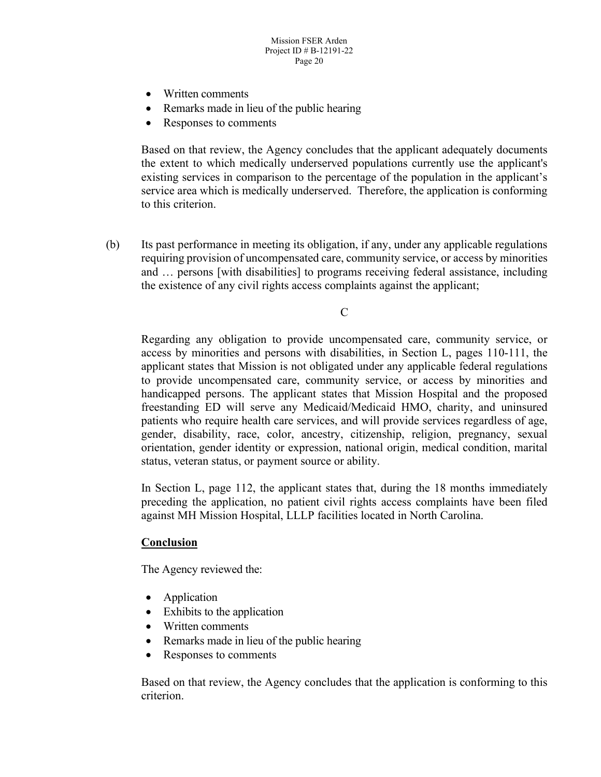- Written comments
- Remarks made in lieu of the public hearing
- Responses to comments

Based on that review, the Agency concludes that the applicant adequately documents the extent to which medically underserved populations currently use the applicant's existing services in comparison to the percentage of the population in the applicant's service area which is medically underserved. Therefore, the application is conforming to this criterion.

(b) Its past performance in meeting its obligation, if any, under any applicable regulations requiring provision of uncompensated care, community service, or access by minorities and … persons [with disabilities] to programs receiving federal assistance, including the existence of any civil rights access complaints against the applicant;

C

Regarding any obligation to provide uncompensated care, community service, or access by minorities and persons with disabilities, in Section L, pages 110-111, the applicant states that Mission is not obligated under any applicable federal regulations to provide uncompensated care, community service, or access by minorities and handicapped persons. The applicant states that Mission Hospital and the proposed freestanding ED will serve any Medicaid/Medicaid HMO, charity, and uninsured patients who require health care services, and will provide services regardless of age, gender, disability, race, color, ancestry, citizenship, religion, pregnancy, sexual orientation, gender identity or expression, national origin, medical condition, marital status, veteran status, or payment source or ability.

In Section L, page 112, the applicant states that, during the 18 months immediately preceding the application, no patient civil rights access complaints have been filed against MH Mission Hospital, LLLP facilities located in North Carolina.

#### **Conclusion**

The Agency reviewed the:

- Application
- Exhibits to the application
- Written comments
- Remarks made in lieu of the public hearing
- Responses to comments

Based on that review, the Agency concludes that the application is conforming to this criterion.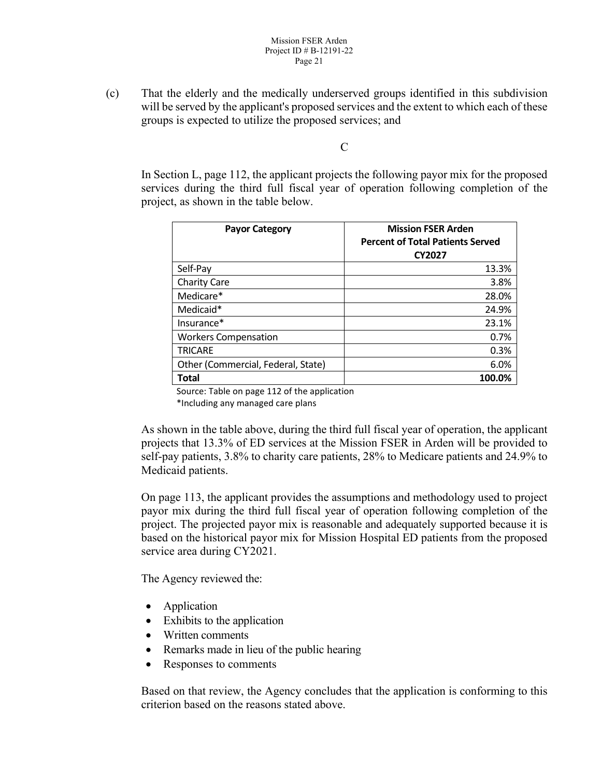(c) That the elderly and the medically underserved groups identified in this subdivision will be served by the applicant's proposed services and the extent to which each of these groups is expected to utilize the proposed services; and

C

In Section L, page 112, the applicant projects the following payor mix for the proposed services during the third full fiscal year of operation following completion of the project, as shown in the table below.

| <b>Payor Category</b>              | <b>Mission FSER Arden</b><br><b>Percent of Total Patients Served</b><br><b>CY2027</b> |
|------------------------------------|---------------------------------------------------------------------------------------|
| Self-Pay                           | 13.3%                                                                                 |
| <b>Charity Care</b>                | 3.8%                                                                                  |
| Medicare*                          | 28.0%                                                                                 |
| Medicaid*                          | 24.9%                                                                                 |
| Insurance*                         | 23.1%                                                                                 |
| <b>Workers Compensation</b>        | 0.7%                                                                                  |
| <b>TRICARE</b>                     | 0.3%                                                                                  |
| Other (Commercial, Federal, State) | 6.0%                                                                                  |
| <b>Total</b>                       | 100.0%                                                                                |

Source: Table on page 112 of the application

\*Including any managed care plans

As shown in the table above, during the third full fiscal year of operation, the applicant projects that 13.3% of ED services at the Mission FSER in Arden will be provided to self-pay patients, 3.8% to charity care patients, 28% to Medicare patients and 24.9% to Medicaid patients.

On page 113, the applicant provides the assumptions and methodology used to project payor mix during the third full fiscal year of operation following completion of the project. The projected payor mix is reasonable and adequately supported because it is based on the historical payor mix for Mission Hospital ED patients from the proposed service area during CY2021.

The Agency reviewed the:

- Application
- Exhibits to the application
- Written comments
- Remarks made in lieu of the public hearing
- Responses to comments

Based on that review, the Agency concludes that the application is conforming to this criterion based on the reasons stated above.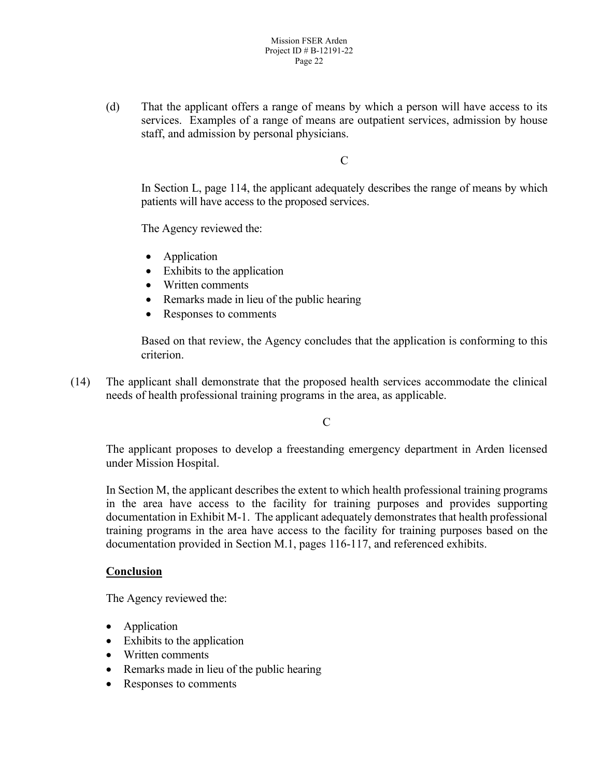(d) That the applicant offers a range of means by which a person will have access to its services. Examples of a range of means are outpatient services, admission by house staff, and admission by personal physicians.

 $\mathcal{C}$ 

In Section L, page 114, the applicant adequately describes the range of means by which patients will have access to the proposed services.

The Agency reviewed the:

- Application
- Exhibits to the application
- Written comments
- Remarks made in lieu of the public hearing
- Responses to comments

Based on that review, the Agency concludes that the application is conforming to this criterion.

(14) The applicant shall demonstrate that the proposed health services accommodate the clinical needs of health professional training programs in the area, as applicable.

C

The applicant proposes to develop a freestanding emergency department in Arden licensed under Mission Hospital.

In Section M, the applicant describes the extent to which health professional training programs in the area have access to the facility for training purposes and provides supporting documentation in Exhibit M-1. The applicant adequately demonstrates that health professional training programs in the area have access to the facility for training purposes based on the documentation provided in Section M.1, pages 116-117, and referenced exhibits.

#### **Conclusion**

- Application
- Exhibits to the application
- Written comments
- Remarks made in lieu of the public hearing
- Responses to comments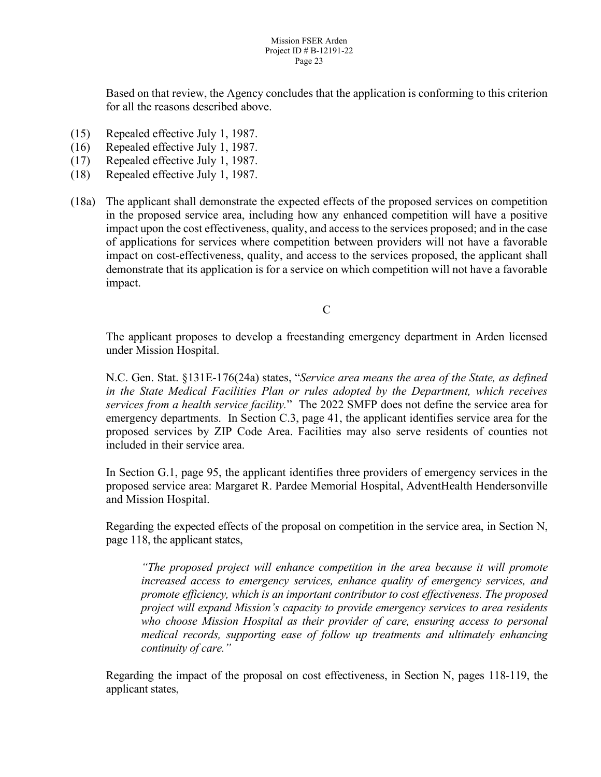Based on that review, the Agency concludes that the application is conforming to this criterion for all the reasons described above.

- (15) Repealed effective July 1, 1987.
- (16) Repealed effective July 1, 1987.
- (17) Repealed effective July 1, 1987.
- (18) Repealed effective July 1, 1987.
- (18a) The applicant shall demonstrate the expected effects of the proposed services on competition in the proposed service area, including how any enhanced competition will have a positive impact upon the cost effectiveness, quality, and access to the services proposed; and in the case of applications for services where competition between providers will not have a favorable impact on cost-effectiveness, quality, and access to the services proposed, the applicant shall demonstrate that its application is for a service on which competition will not have a favorable impact.

 $\mathcal{C}$ 

The applicant proposes to develop a freestanding emergency department in Arden licensed under Mission Hospital.

N.C. Gen. Stat. §131E-176(24a) states, "*Service area means the area of the State, as defined in the State Medical Facilities Plan or rules adopted by the Department, which receives services from a health service facility.*"The 2022 SMFP does not define the service area for emergency departments. In Section C.3, page 41, the applicant identifies service area for the proposed services by ZIP Code Area. Facilities may also serve residents of counties not included in their service area.

In Section G.1, page 95, the applicant identifies three providers of emergency services in the proposed service area: Margaret R. Pardee Memorial Hospital, AdventHealth Hendersonville and Mission Hospital.

Regarding the expected effects of the proposal on competition in the service area, in Section N, page 118, the applicant states,

*"The proposed project will enhance competition in the area because it will promote increased access to emergency services, enhance quality of emergency services, and promote efficiency, which is an important contributor to cost effectiveness. The proposed project will expand Mission's capacity to provide emergency services to area residents who choose Mission Hospital as their provider of care, ensuring access to personal medical records, supporting ease of follow up treatments and ultimately enhancing continuity of care."*

Regarding the impact of the proposal on cost effectiveness, in Section N, pages 118-119, the applicant states,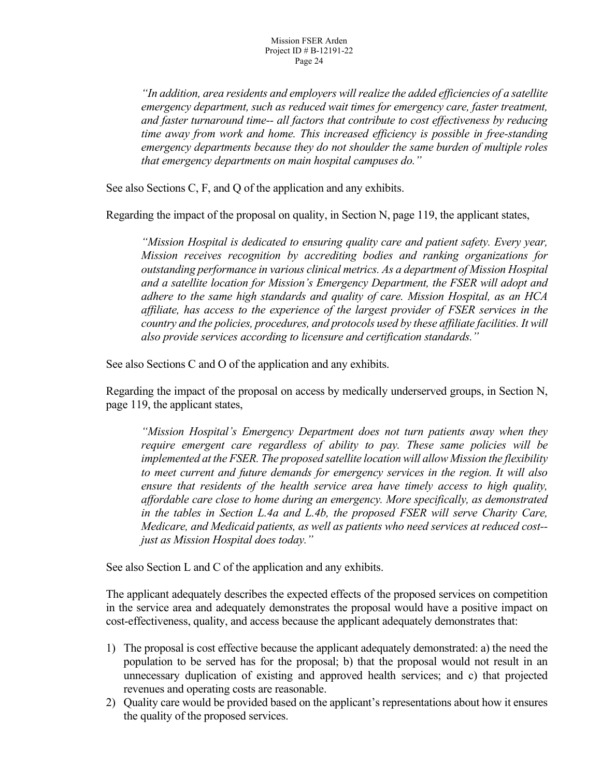*"In addition, area residents and employers will realize the added efficiencies of a satellite emergency department, such as reduced wait times for emergency care, faster treatment, and faster turnaround time-- all factors that contribute to cost effectiveness by reducing time away from work and home. This increased efficiency is possible in free-standing emergency departments because they do not shoulder the same burden of multiple roles that emergency departments on main hospital campuses do."*

See also Sections C, F, and Q of the application and any exhibits.

Regarding the impact of the proposal on quality, in Section N, page 119, the applicant states,

*"Mission Hospital is dedicated to ensuring quality care and patient safety. Every year, Mission receives recognition by accrediting bodies and ranking organizations for outstanding performance in various clinical metrics. As a department of Mission Hospital and a satellite location for Mission's Emergency Department, the FSER will adopt and adhere to the same high standards and quality of care. Mission Hospital, as an HCA affiliate, has access to the experience of the largest provider of FSER services in the country and the policies, procedures, and protocols used by these affiliate facilities. It will also provide services according to licensure and certification standards."*

See also Sections C and O of the application and any exhibits.

Regarding the impact of the proposal on access by medically underserved groups, in Section N, page 119, the applicant states,

*"Mission Hospital's Emergency Department does not turn patients away when they require emergent care regardless of ability to pay. These same policies will be implemented at the FSER. The proposed satellite location will allow Mission the flexibility to meet current and future demands for emergency services in the region. It will also ensure that residents of the health service area have timely access to high quality, affordable care close to home during an emergency. More specifically, as demonstrated in the tables in Section L.4a and L.4b, the proposed FSER will serve Charity Care, Medicare, and Medicaid patients, as well as patients who need services at reduced cost- just as Mission Hospital does today."*

See also Section L and C of the application and any exhibits.

The applicant adequately describes the expected effects of the proposed services on competition in the service area and adequately demonstrates the proposal would have a positive impact on cost-effectiveness, quality, and access because the applicant adequately demonstrates that:

- 1) The proposal is cost effective because the applicant adequately demonstrated: a) the need the population to be served has for the proposal; b) that the proposal would not result in an unnecessary duplication of existing and approved health services; and c) that projected revenues and operating costs are reasonable.
- 2) Quality care would be provided based on the applicant's representations about how it ensures the quality of the proposed services.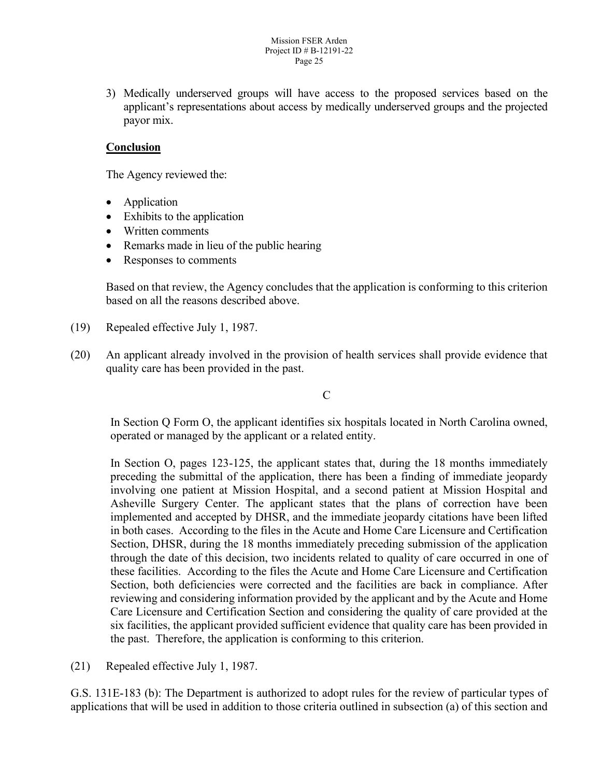3) Medically underserved groups will have access to the proposed services based on the applicant's representations about access by medically underserved groups and the projected payor mix.

## **Conclusion**

The Agency reviewed the:

- Application
- Exhibits to the application
- Written comments
- Remarks made in lieu of the public hearing
- Responses to comments

Based on that review, the Agency concludes that the application is conforming to this criterion based on all the reasons described above.

- (19) Repealed effective July 1, 1987.
- (20) An applicant already involved in the provision of health services shall provide evidence that quality care has been provided in the past.

#### C

In Section Q Form O, the applicant identifies six hospitals located in North Carolina owned, operated or managed by the applicant or a related entity.

In Section O, pages 123-125, the applicant states that, during the 18 months immediately preceding the submittal of the application, there has been a finding of immediate jeopardy involving one patient at Mission Hospital, and a second patient at Mission Hospital and Asheville Surgery Center. The applicant states that the plans of correction have been implemented and accepted by DHSR, and the immediate jeopardy citations have been lifted in both cases. According to the files in the Acute and Home Care Licensure and Certification Section, DHSR, during the 18 months immediately preceding submission of the application through the date of this decision, two incidents related to quality of care occurred in one of these facilities. According to the files the Acute and Home Care Licensure and Certification Section, both deficiencies were corrected and the facilities are back in compliance. After reviewing and considering information provided by the applicant and by the Acute and Home Care Licensure and Certification Section and considering the quality of care provided at the six facilities, the applicant provided sufficient evidence that quality care has been provided in the past. Therefore, the application is conforming to this criterion.

(21) Repealed effective July 1, 1987.

G.S. 131E-183 (b): The Department is authorized to adopt rules for the review of particular types of applications that will be used in addition to those criteria outlined in subsection (a) of this section and